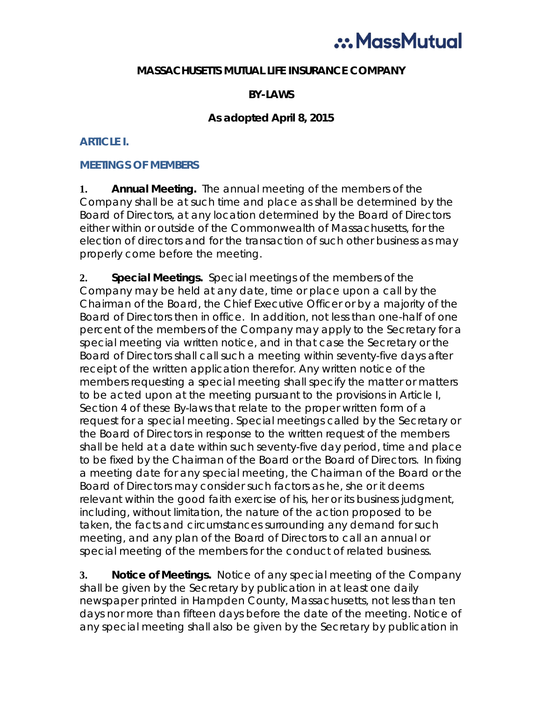# ... MassMutual

#### **MASSACHUSETTS MUTUAL LIFE INSURANCE COMPANY**

#### **BY-LAWS**

#### **As adopted April 8, 2015**

#### **ARTICLE I.**

#### **MEETINGS OF MEMBERS**

**1. Annual Meeting.** The annual meeting of the members of the Company shall be at such time and place as shall be determined by the Board of Directors, at any location determined by the Board of Directors either within or outside of the Commonwealth of Massachusetts, for the election of directors and for the transaction of such other business as may properly come before the meeting.

**2. Special Meetings.** Special meetings of the members of the Company may be held at any date, time or place upon a call by the Chairman of the Board, the Chief Executive Officer or by a majority of the Board of Directors then in office. In addition, not less than one-half of one percent of the members of the Company may apply to the Secretary for a special meeting via written notice, and in that case the Secretary or the Board of Directors shall call such a meeting within seventy-five days after receipt of the written application therefor. Any written notice of the members requesting a special meeting shall specify the matter or matters to be acted upon at the meeting pursuant to the provisions in Article I, Section 4 of these By-laws that relate to the proper written form of a request for a special meeting. Special meetings called by the Secretary or the Board of Directors in response to the written request of the members shall be held at a date within such seventy-five day period, time and place to be fixed by the Chairman of the Board or the Board of Directors. In fixing a meeting date for any special meeting, the Chairman of the Board or the Board of Directors may consider such factors as he, she or it deems relevant within the good faith exercise of his, her or its business judgment, including, without limitation, the nature of the action proposed to be taken, the facts and circumstances surrounding any demand for such meeting, and any plan of the Board of Directors to call an annual or special meeting of the members for the conduct of related business.

**3. Notice of Meetings.** Notice of any special meeting of the Company shall be given by the Secretary by publication in at least one daily newspaper printed in Hampden County, Massachusetts, not less than ten days nor more than fifteen days before the date of the meeting. Notice of any special meeting shall also be given by the Secretary by publication in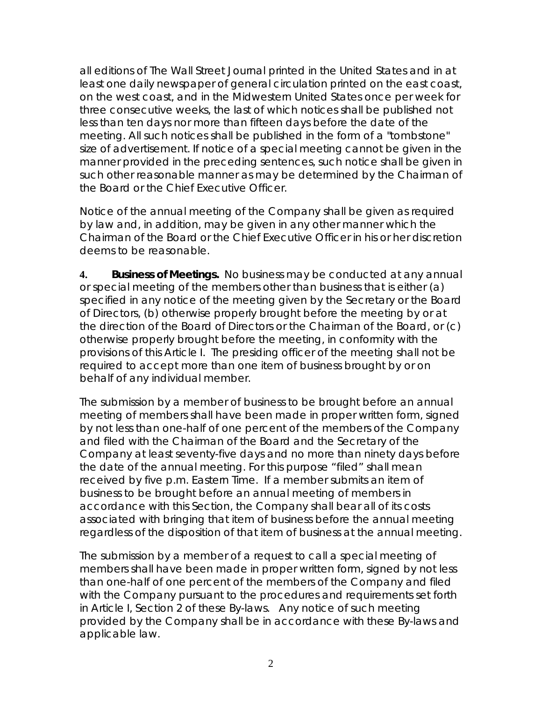all editions of The Wall Street Journal printed in the United States and in at least one daily newspaper of general circulation printed on the east coast, on the west coast, and in the Midwestern United States once per week for three consecutive weeks, the last of which notices shall be published not less than ten days nor more than fifteen days before the date of the meeting. All such notices shall be published in the form of a "tombstone" size of advertisement. If notice of a special meeting cannot be given in the manner provided in the preceding sentences, such notice shall be given in such other reasonable manner as may be determined by the Chairman of the Board or the Chief Executive Officer.

Notice of the annual meeting of the Company shall be given as required by law and, in addition, may be given in any other manner which the Chairman of the Board or the Chief Executive Officer in his or her discretion deems to be reasonable.

**4. Business of Meetings.** No business may be conducted at any annual or special meeting of the members other than business that is either (a) specified in any notice of the meeting given by the Secretary or the Board of Directors, (b) otherwise properly brought before the meeting by or at the direction of the Board of Directors or the Chairman of the Board, or (c) otherwise properly brought before the meeting, in conformity with the provisions of this Article I. The presiding officer of the meeting shall not be required to accept more than one item of business brought by or on behalf of any individual member.

The submission by a member of business to be brought before an annual meeting of members shall have been made in proper written form, signed by not less than one-half of one percent of the members of the Company and filed with the Chairman of the Board and the Secretary of the Company at least seventy-five days and no more than ninety days before the date of the annual meeting. For this purpose "filed" shall mean received by five p.m. Eastern Time. If a member submits an item of business to be brought before an annual meeting of members in accordance with this Section, the Company shall bear all of its costs associated with bringing that item of business before the annual meeting regardless of the disposition of that item of business at the annual meeting.

The submission by a member of a request to call a special meeting of members shall have been made in proper written form, signed by not less than one-half of one percent of the members of the Company and filed with the Company pursuant to the procedures and requirements set forth in Article I, Section 2 of these By-laws. Any notice of such meeting provided by the Company shall be in accordance with these By-laws and applicable law.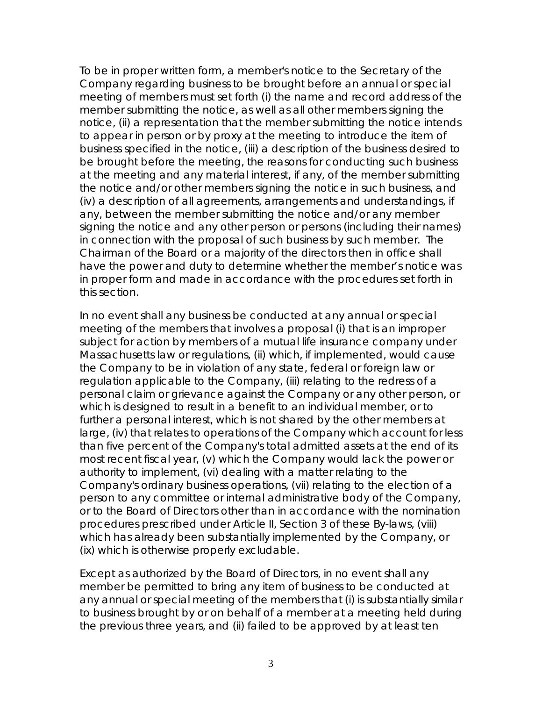To be in proper written form, a member's notice to the Secretary of the Company regarding business to be brought before an annual or special meeting of members must set forth (i) the name and record address of the member submitting the notice, as well as all other members signing the notice, (ii) a representation that the member submitting the notice intends to appear in person or by proxy at the meeting to introduce the item of business specified in the notice, (iii) a description of the business desired to be brought before the meeting, the reasons for conducting such business at the meeting and any material interest, if any, of the member submitting the notice and/or other members signing the notice in such business, and (iv) a description of all agreements, arrangements and understandings, if any, between the member submitting the notice and/or any member signing the notice and any other person or persons (including their names) in connection with the proposal of such business by such member. The Chairman of the Board or a majority of the directors then in office shall have the power and duty to determine whether the member's notice was in proper form and made in accordance with the procedures set forth in this section.

In no event shall any business be conducted at any annual or special meeting of the members that involves a proposal (i) that is an improper subject for action by members of a mutual life insurance company under Massachusetts law or regulations, (ii) which, if implemented, would cause the Company to be in violation of any state, federal or foreign law or regulation applicable to the Company, (iii) relating to the redress of a personal claim or grievance against the Company or any other person, or which is designed to result in a benefit to an individual member, or to further a personal interest, which is not shared by the other members at large, (iv) that relates to operations of the Company which account for less than five percent of the Company's total admitted assets at the end of its most recent fiscal year, (v) which the Company would lack the power or authority to implement, (vi) dealing with a matter relating to the Company's ordinary business operations, (vii) relating to the election of a person to any committee or internal administrative body of the Company, or to the Board of Directors other than in accordance with the nomination procedures prescribed under Article II, Section 3 of these By-laws, (viii) which has already been substantially implemented by the Company, or (ix) which is otherwise properly excludable.

Except as authorized by the Board of Directors, in no event shall any member be permitted to bring any item of business to be conducted at any annual or special meeting of the members that (i) is substantially similar to business brought by or on behalf of a member at a meeting held during the previous three years, and (ii) failed to be approved by at least ten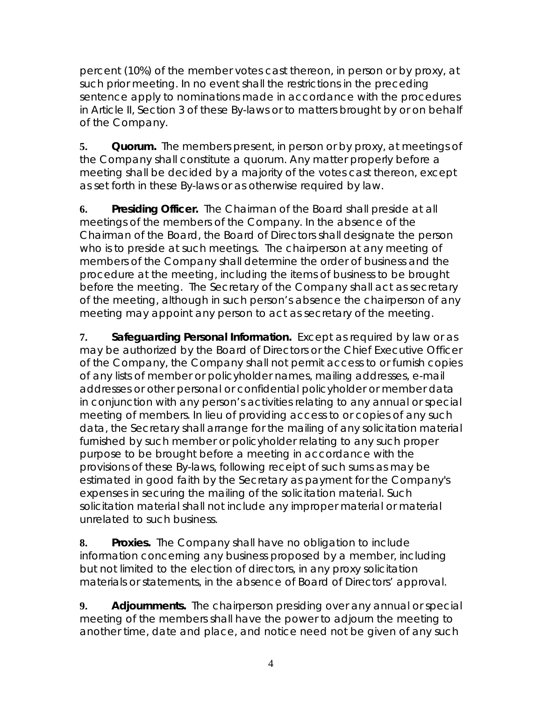percent (10%) of the member votes cast thereon, in person or by proxy, at such prior meeting. In no event shall the restrictions in the preceding sentence apply to nominations made in accordance with the procedures in Article II, Section 3 of these By-laws or to matters brought by or on behalf of the Company.

**5. Quorum.** The members present, in person or by proxy, at meetings of the Company shall constitute a quorum. Any matter properly before a meeting shall be decided by a majority of the votes cast thereon, except as set forth in these By-laws or as otherwise required by law.

**6. Presiding Officer.** The Chairman of the Board shall preside at all meetings of the members of the Company. In the absence of the Chairman of the Board, the Board of Directors shall designate the person who is to preside at such meetings. The chairperson at any meeting of members of the Company shall determine the order of business and the procedure at the meeting, including the items of business to be brought before the meeting. The Secretary of the Company shall act as secretary of the meeting, although in such person's absence the chairperson of any meeting may appoint any person to act as secretary of the meeting.

**7. Safeguarding Personal Information.** Except as required by law or as may be authorized by the Board of Directors or the Chief Executive Officer of the Company, the Company shall not permit access to or furnish copies of any lists of member or policyholder names, mailing addresses, e-mail addresses or other personal or confidential policyholder or member data in conjunction with any person's activities relating to any annual or special meeting of members. In lieu of providing access to or copies of any such data, the Secretary shall arrange for the mailing of any solicitation material furnished by such member or policyholder relating to any such proper purpose to be brought before a meeting in accordance with the provisions of these By-laws, following receipt of such sums as may be estimated in good faith by the Secretary as payment for the Company's expenses in securing the mailing of the solicitation material. Such solicitation material shall not include any improper material or material unrelated to such business.

**8. Proxies.** The Company shall have no obligation to include information concerning any business proposed by a member, including but not limited to the election of directors, in any proxy solicitation materials or statements, in the absence of Board of Directors' approval.

**9. Adjournments.**The chairperson presiding over any annual or special meeting of the members shall have the power to adjourn the meeting to another time, date and place, and notice need not be given of any such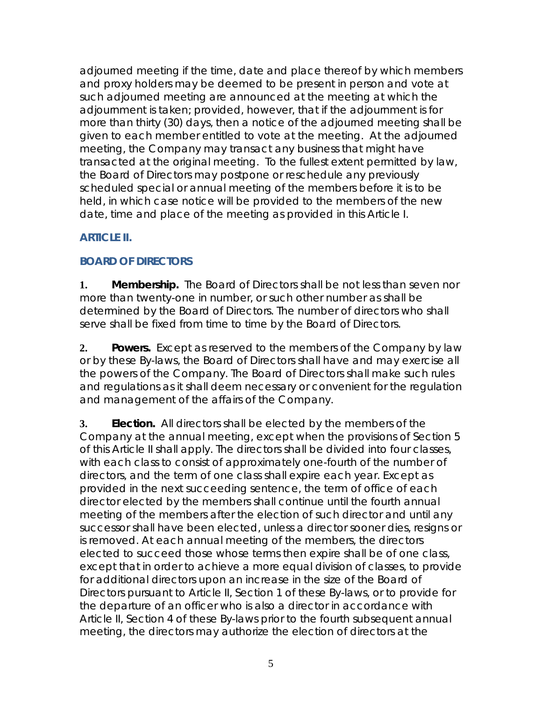adjourned meeting if the time, date and place thereof by which members and proxy holders may be deemed to be present in person and vote at such adjourned meeting are announced at the meeting at which the adjournment is taken; *provided, however*, that if the adjournment is for more than thirty (30) days, then a notice of the adjourned meeting shall be given to each member entitled to vote at the meeting. At the adjourned meeting, the Company may transact any business that might have transacted at the original meeting. To the fullest extent permitted by law, the Board of Directors may postpone or reschedule any previously scheduled special or annual meeting of the members before it is to be held, in which case notice will be provided to the members of the new date, time and place of the meeting as provided in this Article I.

# **ARTICLE II.**

# **BOARD OF DIRECTORS**

**1. Membership.** The Board of Directors shall be not less than seven nor more than twenty-one in number, or such other number as shall be determined by the Board of Directors. The number of directors who shall serve shall be fixed from time to time by the Board of Directors.

**2. Powers.** Except as reserved to the members of the Company by law or by these By-laws, the Board of Directors shall have and may exercise all the powers of the Company. The Board of Directors shall make such rules and regulations as it shall deem necessary or convenient for the regulation and management of the affairs of the Company.

**3. Election.** All directors shall be elected by the members of the Company at the annual meeting, except when the provisions of Section 5 of this Article II shall apply. The directors shall be divided into four classes, with each class to consist of approximately one-fourth of the number of directors, and the term of one class shall expire each year. Except as provided in the next succeeding sentence, the term of office of each director elected by the members shall continue until the fourth annual meeting of the members after the election of such director and until any successor shall have been elected, unless a director sooner dies, resigns or is removed. At each annual meeting of the members, the directors elected to succeed those whose terms then expire shall be of one class, except that in order to achieve a more equal division of classes, to provide for additional directors upon an increase in the size of the Board of Directors pursuant to Article II, Section 1 of these By-laws, or to provide for the departure of an officer who is also a director in accordance with Article II, Section 4 of these By-laws prior to the fourth subsequent annual meeting, the directors may authorize the election of directors at the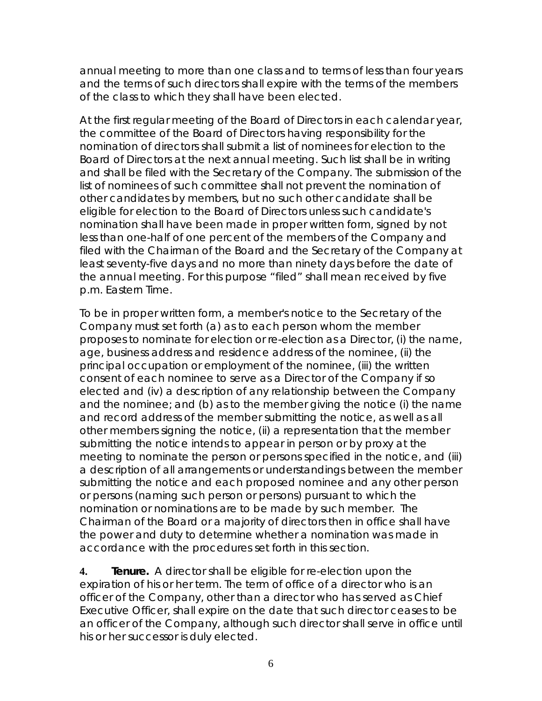annual meeting to more than one class and to terms of less than four years and the terms of such directors shall expire with the terms of the members of the class to which they shall have been elected.

At the first regular meeting of the Board of Directors in each calendar year, the committee of the Board of Directors having responsibility for the nomination of directors shall submit a list of nominees for election to the Board of Directors at the next annual meeting. Such list shall be in writing and shall be filed with the Secretary of the Company. The submission of the list of nominees of such committee shall not prevent the nomination of other candidates by members, but no such other candidate shall be eligible for election to the Board of Directors unless such candidate's nomination shall have been made in proper written form, signed by not less than one-half of one percent of the members of the Company and filed with the Chairman of the Board and the Secretary of the Company at least seventy-five days and no more than ninety days before the date of the annual meeting. For this purpose "filed" shall mean received by five p.m. Eastern Time.

To be in proper written form, a member's notice to the Secretary of the Company must set forth (a) as to each person whom the member proposes to nominate for election or re-election as a Director, (i) the name, age, business address and residence address of the nominee, (ii) the principal occupation or employment of the nominee, (iii) the written consent of each nominee to serve as a Director of the Company if so elected and (iv) a description of any relationship between the Company and the nominee; and (b) as to the member giving the notice (i) the name and record address of the member submitting the notice, as well as all other members signing the notice, (ii) a representation that the member submitting the notice intends to appear in person or by proxy at the meeting to nominate the person or persons specified in the notice, and (iii) a description of all arrangements or understandings between the member submitting the notice and each proposed nominee and any other person or persons (naming such person or persons) pursuant to which the nomination or nominations are to be made by such member. The Chairman of the Board or a majority of directors then in office shall have the power and duty to determine whether a nomination was made in accordance with the procedures set forth in this section.

**4. Tenure.** A director shall be eligible for re-election upon the expiration of his or her term. The term of office of a director who is an officer of the Company, other than a director who has served as Chief Executive Officer, shall expire on the date that such director ceases to be an officer of the Company, although such director shall serve in office until his or her successor is duly elected.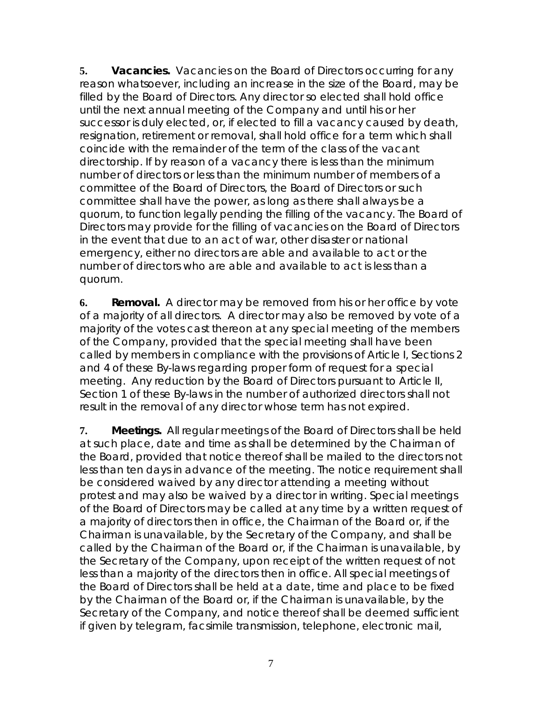**5. Vacancies.** Vacancies on the Board of Directors occurring for any reason whatsoever, including an increase in the size of the Board, may be filled by the Board of Directors. Any director so elected shall hold office until the next annual meeting of the Company and until his or her successor is duly elected, or, if elected to fill a vacancy caused by death, resignation, retirement or removal, shall hold office for a term which shall coincide with the remainder of the term of the class of the vacant directorship. If by reason of a vacancy there is less than the minimum number of directors or less than the minimum number of members of a committee of the Board of Directors, the Board of Directors or such committee shall have the power, as long as there shall always be a quorum, to function legally pending the filling of the vacancy. The Board of Directors may provide for the filling of vacancies on the Board of Directors in the event that due to an act of war, other disaster or national emergency, either no directors are able and available to act or the number of directors who are able and available to act is less than a quorum.

**6. Removal.** A director may be removed from his or her office by vote of a majority of all directors. A director may also be removed by vote of a majority of the votes cast thereon at any special meeting of the members of the Company, provided that the special meeting shall have been called by members in compliance with the provisions of Article I, Sections 2 and 4 of these By-laws regarding proper form of request for a special meeting. Any reduction by the Board of Directors pursuant to Article II, Section 1 of these By-laws in the number of authorized directors shall not result in the removal of any director whose term has not expired.

**7. Meetings.** All regular meetings of the Board of Directors shall be held at such place, date and time as shall be determined by the Chairman of the Board, provided that notice thereof shall be mailed to the directors not less than ten days in advance of the meeting. The notice requirement shall be considered waived by any director attending a meeting without protest and may also be waived by a director in writing. Special meetings of the Board of Directors may be called at any time by a written request of a majority of directors then in office, the Chairman of the Board or, if the Chairman is unavailable, by the Secretary of the Company, and shall be called by the Chairman of the Board or, if the Chairman is unavailable, by the Secretary of the Company, upon receipt of the written request of not less than a majority of the directors then in office. All special meetings of the Board of Directors shall be held at a date, time and place to be fixed by the Chairman of the Board or, if the Chairman is unavailable, by the Secretary of the Company, and notice thereof shall be deemed sufficient if given by telegram, facsimile transmission, telephone, electronic mail,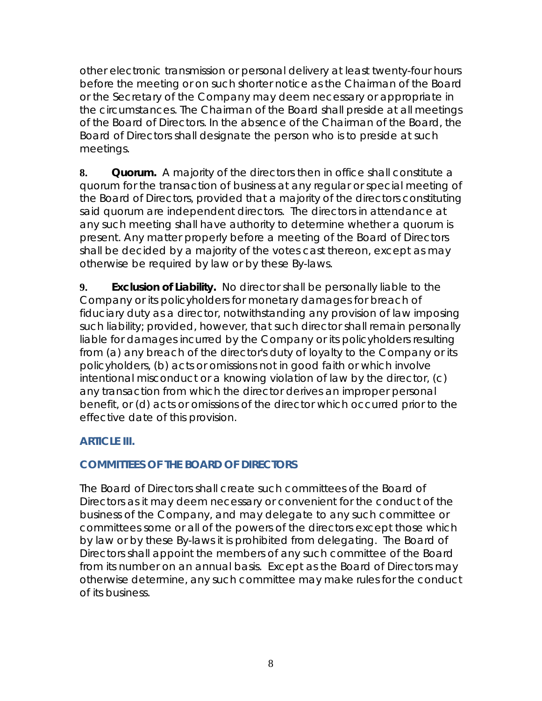other electronic transmission or personal delivery at least twenty-four hours before the meeting or on such shorter notice as the Chairman of the Board or the Secretary of the Company may deem necessary or appropriate in the circumstances. The Chairman of the Board shall preside at all meetings of the Board of Directors. In the absence of the Chairman of the Board, the Board of Directors shall designate the person who is to preside at such meetings.

**8. Quorum.** A majority of the directors then in office shall constitute a quorum for the transaction of business at any regular or special meeting of the Board of Directors, provided that a majority of the directors constituting said quorum are independent directors. The directors in attendance at any such meeting shall have authority to determine whether a quorum is present. Any matter properly before a meeting of the Board of Directors shall be decided by a majority of the votes cast thereon, except as may otherwise be required by law or by these By-laws.

**9. Exclusion of Liability.** No director shall be personally liable to the Company or its policyholders for monetary damages for breach of fiduciary duty as a director, notwithstanding any provision of law imposing such liability; provided, however, that such director shall remain personally liable for damages incurred by the Company or its policyholders resulting from (a) any breach of the director's duty of loyalty to the Company or its policyholders, (b) acts or omissions not in good faith or which involve intentional misconduct or a knowing violation of law by the director, (c) any transaction from which the director derives an improper personal benefit, or (d) acts or omissions of the director which occurred prior to the effective date of this provision.

#### **ARTICLE III.**

## **COMMITTEES OF THE BOARD OF DIRECTORS**

The Board of Directors shall create such committees of the Board of Directors as it may deem necessary or convenient for the conduct of the business of the Company, and may delegate to any such committee or committees some or all of the powers of the directors except those which by law or by these By-laws it is prohibited from delegating. The Board of Directors shall appoint the members of any such committee of the Board from its number on an annual basis. Except as the Board of Directors may otherwise determine, any such committee may make rules for the conduct of its business.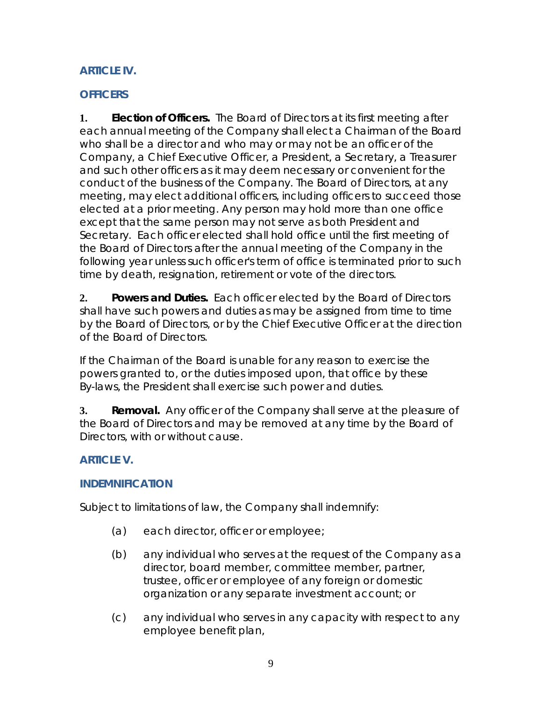# **ARTICLE IV.**

## **OFFICERS**

**1. Election of Officers.** The Board of Directors at its first meeting after each annual meeting of the Company shall elect a Chairman of the Board who shall be a director and who may or may not be an officer of the Company, a Chief Executive Officer, a President, a Secretary, a Treasurer and such other officers as it may deem necessary or convenient for the conduct of the business of the Company. The Board of Directors, at any meeting, may elect additional officers, including officers to succeed those elected at a prior meeting. Any person may hold more than one office except that the same person may not serve as both President and Secretary. Each officer elected shall hold office until the first meeting of the Board of Directors after the annual meeting of the Company in the following year unless such officer's term of office is terminated prior to such time by death, resignation, retirement or vote of the directors.

**2. Powers and Duties.** Each officer elected by the Board of Directors shall have such powers and duties as may be assigned from time to time by the Board of Directors, or by the Chief Executive Officer at the direction of the Board of Directors.

If the Chairman of the Board is unable for any reason to exercise the powers granted to, or the duties imposed upon, that office by these By-laws, the President shall exercise such power and duties.

**3. Removal.** Any officer of the Company shall serve at the pleasure of the Board of Directors and may be removed at any time by the Board of Directors, with or without cause.

# **ARTICLE V.**

## **INDEMNIFICATION**

Subject to limitations of law, the Company shall indemnify:

- (a) each director, officer or employee;
- (b) any individual who serves at the request of the Company as a director, board member, committee member, partner, trustee, officer or employee of any foreign or domestic organization or any separate investment account; or
- (c) any individual who serves in any capacity with respect to any employee benefit plan,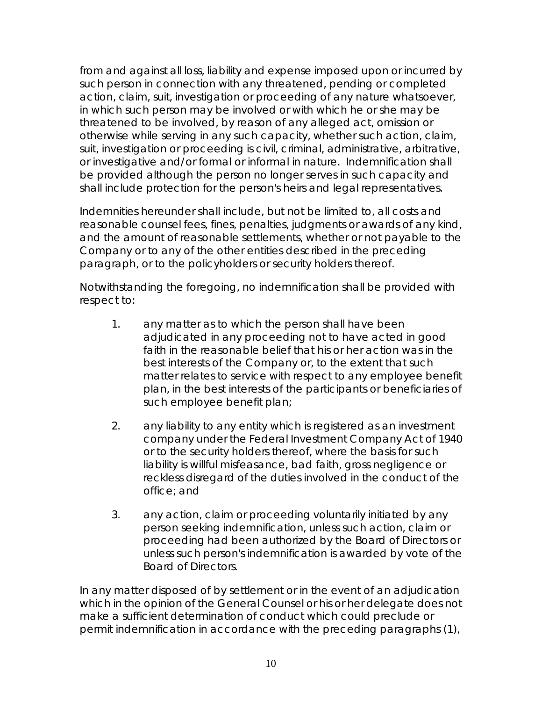from and against all loss, liability and expense imposed upon or incurred by such person in connection with any threatened, pending or completed action, claim, suit, investigation or proceeding of any nature whatsoever, in which such person may be involved or with which he or she may be threatened to be involved, by reason of any alleged act, omission or otherwise while serving in any such capacity, whether such action, claim, suit, investigation or proceeding is civil, criminal, administrative, arbitrative, or investigative and/or formal or informal in nature. Indemnification shall be provided although the person no longer serves in such capacity and shall include protection for the person's heirs and legal representatives.

Indemnities hereunder shall include, but not be limited to, all costs and reasonable counsel fees, fines, penalties, judgments or awards of any kind, and the amount of reasonable settlements, whether or not payable to the Company or to any of the other entities described in the preceding paragraph, or to the policyholders or security holders thereof.

Notwithstanding the foregoing, no indemnification shall be provided with respect to:

- 1. any matter as to which the person shall have been adjudicated in any proceeding not to have acted in good faith in the reasonable belief that his or her action was in the best interests of the Company or, to the extent that such matter relates to service with respect to any employee benefit plan, in the best interests of the participants or beneficiaries of such employee benefit plan;
- 2. any liability to any entity which is registered as an investment company under the Federal Investment Company Act of 1940 or to the security holders thereof, where the basis for such liability is willful misfeasance, bad faith, gross negligence or reckless disregard of the duties involved in the conduct of the office; and
- 3. any action, claim or proceeding voluntarily initiated by any person seeking indemnification, unless such action, claim or proceeding had been authorized by the Board of Directors or unless such person's indemnification is awarded by vote of the Board of Directors.

In any matter disposed of by settlement or in the event of an adjudication which in the opinion of the General Counsel or his or her delegate does not make a sufficient determination of conduct which could preclude or permit indemnification in accordance with the preceding paragraphs (1),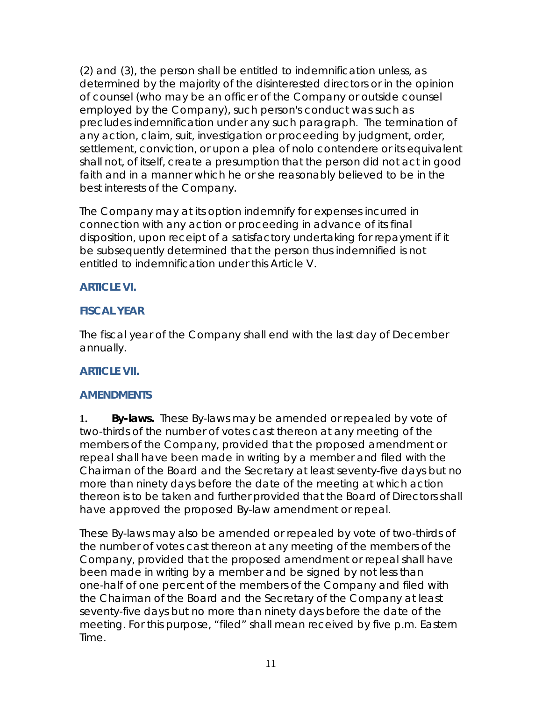(2) and (3), the person shall be entitled to indemnification unless, as determined by the majority of the disinterested directors or in the opinion of counsel (who may be an officer of the Company or outside counsel employed by the Company), such person's conduct was such as precludes indemnification under any such paragraph. The termination of any action, claim, suit, investigation or proceeding by judgment, order, settlement, conviction, or upon a plea of nolo contendere or its equivalent shall not, of itself, create a presumption that the person did not act in good faith and in a manner which he or she reasonably believed to be in the best interests of the Company.

The Company may at its option indemnify for expenses incurred in connection with any action or proceeding in advance of its final disposition, upon receipt of a satisfactory undertaking for repayment if it be subsequently determined that the person thus indemnified is not entitled to indemnification under this Article V.

## **ARTICLE VI.**

## **FISCAL YEAR**

The fiscal year of the Company shall end with the last day of December annually.

## **ARTICLE VII.**

## **AMENDMENTS**

**1. By-laws.** These By-laws may be amended or repealed by vote of two-thirds of the number of votes cast thereon at any meeting of the members of the Company, provided that the proposed amendment or repeal shall have been made in writing by a member and filed with the Chairman of the Board and the Secretary at least seventy-five days but no more than ninety days before the date of the meeting at which action thereon is to be taken and further provided that the Board of Directors shall have approved the proposed By-law amendment or repeal.

These By-laws may also be amended or repealed by vote of two-thirds of the number of votes cast thereon at any meeting of the members of the Company, provided that the proposed amendment or repeal shall have been made in writing by a member and be signed by not less than one-half of one percent of the members of the Company and filed with the Chairman of the Board and the Secretary of the Company at least seventy-five days but no more than ninety days before the date of the meeting. For this purpose, "filed" shall mean received by five p.m. Eastern Time.